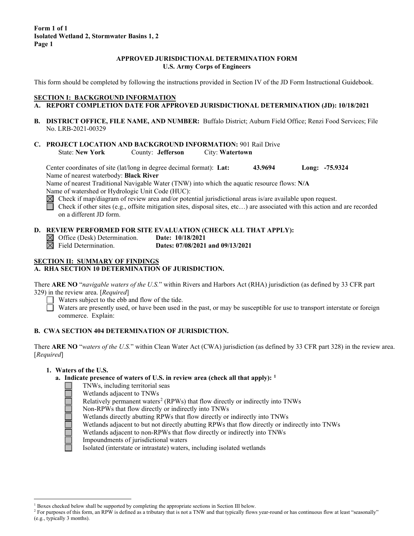## **APPROVED JURISDICTIONAL DETERMINATION FORM U.S. Army Corps of Engineers**

This form should be completed by following the instructions provided in Section IV of the JD Form Instructional Guidebook.

# **SECTION I: BACKGROUND INFORMATION**

- **A. REPORT COMPLETION DATE FOR APPROVED JURISDICTIONAL DETERMINATION (JD): 10/18/2021**
- **B. DISTRICT OFFICE, FILE NAME, AND NUMBER:** Buffalo District; Auburn Field Office; Renzi Food Services; File No. LRB-2021-00329
- **C. PROJECT LOCATION AND BACKGROUND INFORMATION:** 901 Rail Drive County: **Jefferson** City: **Watertown**

Center coordinates of site (lat/long in degree decimal format): **Lat: 43.9694 Long: -75.9324** Name of nearest waterbody: **Black River**

Name of nearest Traditional Navigable Water (TNW) into which the aquatic resource flows: **N/A** Name of watershed or Hydrologic Unit Code (HUC):

 $\boxtimes$  Check if map/diagram of review area and/or potential jurisdictional areas is/are available upon request.

Check if other sites (e.g., offsite mitigation sites, disposal sites, etc…) are associated with this action and are recorded on a different JD form.

### **D. REVIEW PERFORMED FOR SITE EVALUATION (CHECK ALL THAT APPLY):**

Office (Desk) Determination. **Date: 10/18/2021** Field Determination. **Dates: 07/08/2021 and 09/13/2021**

# **SECTION II: SUMMARY OF FINDINGS**

# **A. RHA SECTION 10 DETERMINATION OF JURISDICTION.**

There **ARE NO** "*navigable waters of the U.S.*" within Rivers and Harbors Act (RHA) jurisdiction (as defined by 33 CFR part 329) in the review area. [*Required*]

Waters subject to the ebb and flow of the tide.

Waters are presently used, or have been used in the past, or may be susceptible for use to transport interstate or foreign commerce. Explain:

# **B. CWA SECTION 404 DETERMINATION OF JURISDICTION.**

There **ARE NO** "*waters of the U.S.*" within Clean Water Act (CWA) jurisdiction (as defined by 33 CFR part 328) in the review area. [*Required*]

## **1. Waters of the U.S.**

# **a. Indicate presence of waters of U.S. in review area (check all that apply): [1](#page-0-0)**

- TNWs, including territorial seas
	- Wetlands adjacent to TNWs
	- Relatively permanent waters<sup>[2](#page-0-1)</sup> (RPWs) that flow directly or indirectly into TNWs
	- Non-RPWs that flow directly or indirectly into TNWs
- Wetlands directly abutting RPWs that flow directly or indirectly into TNWs
- Wetlands adjacent to but not directly abutting RPWs that flow directly or indirectly into TNWs
- Wetlands adjacent to non-RPWs that flow directly or indirectly into TNWs
- Impoundments of jurisdictional waters

Isolated (interstate or intrastate) waters, including isolated wetlands

 $1$  Boxes checked below shall be supported by completing the appropriate sections in Section III below.

<span id="page-0-1"></span><span id="page-0-0"></span><sup>&</sup>lt;sup>2</sup> For purposes of this form, an RPW is defined as a tributary that is not a TNW and that typically flows year-round or has continuous flow at least "seasonally" (e.g., typically 3 months).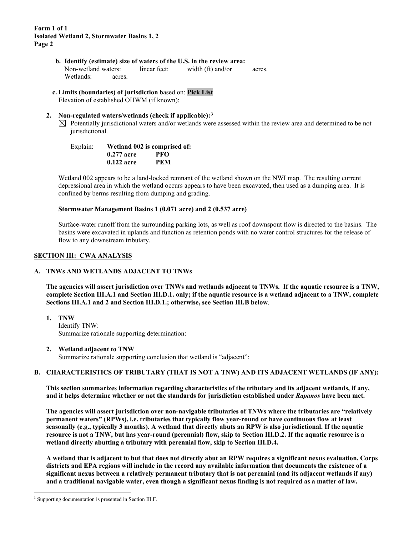- **b. Identify (estimate) size of waters of the U.S. in the review area:** Non-wetland waters: linear feet: width (ft) and/or acres. Wetlands: acres.
- **c. Limits (boundaries) of jurisdiction** based on: **Pick List** Elevation of established OHWM (if known):

#### **2. Non-regulated waters/wetlands (check if applicable):[3](#page-1-0)**

 $\boxtimes$  Potentially jurisdictional waters and/or wetlands were assessed within the review area and determined to be not jurisdictional.

| Explain: |              | Wetland 002 is comprised of: |
|----------|--------------|------------------------------|
|          | $0.277$ acre | PFO                          |
|          | $0.122$ acre | PEM                          |

Wetland 002 appears to be a land-locked remnant of the wetland shown on the NWI map. The resulting current depressional area in which the wetland occurs appears to have been excavated, then used as a dumping area. It is confined by berms resulting from dumping and grading.

#### **Stormwater Management Basins 1 (0.071 acre) and 2 (0.537 acre)**

Surface-water runoff from the surrounding parking lots, as well as roof downspout flow is directed to the basins. The basins were excavated in uplands and function as retention ponds with no water control structures for the release of flow to any downstream tributary.

#### **SECTION III: CWA ANALYSIS**

#### **A. TNWs AND WETLANDS ADJACENT TO TNWs**

**The agencies will assert jurisdiction over TNWs and wetlands adjacent to TNWs. If the aquatic resource is a TNW, complete Section III.A.1 and Section III.D.1. only; if the aquatic resource is a wetland adjacent to a TNW, complete Sections III.A.1 and 2 and Section III.D.1.; otherwise, see Section III.B below**.

**1. TNW**  Identify TNW: Summarize rationale supporting determination:

#### **2. Wetland adjacent to TNW**

Summarize rationale supporting conclusion that wetland is "adjacent":

## **B. CHARACTERISTICS OF TRIBUTARY (THAT IS NOT A TNW) AND ITS ADJACENT WETLANDS (IF ANY):**

**This section summarizes information regarding characteristics of the tributary and its adjacent wetlands, if any, and it helps determine whether or not the standards for jurisdiction established under** *Rapanos* **have been met.** 

**The agencies will assert jurisdiction over non-navigable tributaries of TNWs where the tributaries are "relatively permanent waters" (RPWs), i.e. tributaries that typically flow year-round or have continuous flow at least seasonally (e.g., typically 3 months). A wetland that directly abuts an RPW is also jurisdictional. If the aquatic resource is not a TNW, but has year-round (perennial) flow, skip to Section III.D.2. If the aquatic resource is a wetland directly abutting a tributary with perennial flow, skip to Section III.D.4.** 

**A wetland that is adjacent to but that does not directly abut an RPW requires a significant nexus evaluation. Corps districts and EPA regions will include in the record any available information that documents the existence of a significant nexus between a relatively permanent tributary that is not perennial (and its adjacent wetlands if any) and a traditional navigable water, even though a significant nexus finding is not required as a matter of law.**

<span id="page-1-0"></span><sup>&</sup>lt;sup>3</sup> Supporting documentation is presented in Section III.F.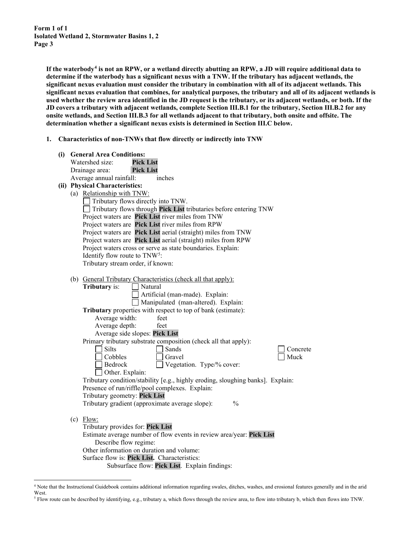**If the waterbody[4](#page-2-0) is not an RPW, or a wetland directly abutting an RPW, a JD will require additional data to determine if the waterbody has a significant nexus with a TNW. If the tributary has adjacent wetlands, the significant nexus evaluation must consider the tributary in combination with all of its adjacent wetlands. This significant nexus evaluation that combines, for analytical purposes, the tributary and all of its adjacent wetlands is used whether the review area identified in the JD request is the tributary, or its adjacent wetlands, or both. If the JD covers a tributary with adjacent wetlands, complete Section III.B.1 for the tributary, Section III.B.2 for any onsite wetlands, and Section III.B.3 for all wetlands adjacent to that tributary, both onsite and offsite. The determination whether a significant nexus exists is determined in Section III.C below.**

**1. Characteristics of non-TNWs that flow directly or indirectly into TNW**

|  | (i) General Area Conditions:                                                    |
|--|---------------------------------------------------------------------------------|
|  | Watershed size:<br><b>Pick List</b>                                             |
|  | <b>Pick List</b><br>Drainage area:                                              |
|  | Average annual rainfall:<br>inches                                              |
|  | (ii) Physical Characteristics:                                                  |
|  | (a) Relationship with TNW:                                                      |
|  | Tributary flows directly into TNW.                                              |
|  | Tributary flows through Pick List tributaries before entering TNW               |
|  | Project waters are Pick List river miles from TNW                               |
|  | Project waters are Pick List river miles from RPW                               |
|  | Project waters are Pick List aerial (straight) miles from TNW                   |
|  | Project waters are Pick List aerial (straight) miles from RPW                   |
|  | Project waters cross or serve as state boundaries. Explain:                     |
|  | Identify flow route to TNW <sup>5</sup> :                                       |
|  | Tributary stream order, if known:                                               |
|  |                                                                                 |
|  | (b) General Tributary Characteristics (check all that apply):                   |
|  | <b>Tributary</b> is:<br>Natural                                                 |
|  | Artificial (man-made). Explain:                                                 |
|  | Manipulated (man-altered). Explain:                                             |
|  | Tributary properties with respect to top of bank (estimate):                    |
|  | Average width:<br>feet                                                          |
|  | Average depth:<br>feet                                                          |
|  | Average side slopes: Pick List                                                  |
|  | Primary tributary substrate composition (check all that apply):                 |
|  | <b>Silts</b><br>Sands<br>Concrete                                               |
|  | Muck<br>Cobbles<br>Gravel                                                       |
|  | Vegetation. Type/% cover:<br>Bedrock                                            |
|  | Other. Explain:                                                                 |
|  | Tributary condition/stability [e.g., highly eroding, sloughing banks]. Explain: |
|  | Presence of run/riffle/pool complexes. Explain:                                 |
|  | Tributary geometry: Pick List                                                   |
|  | $\frac{0}{0}$<br>Tributary gradient (approximate average slope):                |
|  |                                                                                 |
|  | $(c)$ Flow:                                                                     |
|  | Tributary provides for: Pick List                                               |
|  | Estimate average number of flow events in review area/year: Pick List           |
|  | Describe flow regime:                                                           |
|  | Other information on duration and volume:                                       |
|  | Surface flow is: Pick List. Characteristics:                                    |
|  | Subsurface flow: Pick List. Explain findings:                                   |

<span id="page-2-0"></span><sup>4</sup> Note that the Instructional Guidebook contains additional information regarding swales, ditches, washes, and erosional features generally and in the arid West.

<span id="page-2-1"></span><sup>5</sup> Flow route can be described by identifying, e.g., tributary a, which flows through the review area, to flow into tributary b, which then flows into TNW.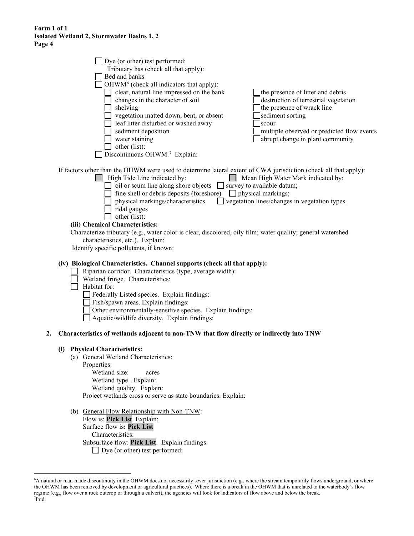| c 4 |                                                                                                                                                                                                                                                                                                                                                                                                                                                                                                                                                                                                                        |                                                                                                                                                                                                                         |
|-----|------------------------------------------------------------------------------------------------------------------------------------------------------------------------------------------------------------------------------------------------------------------------------------------------------------------------------------------------------------------------------------------------------------------------------------------------------------------------------------------------------------------------------------------------------------------------------------------------------------------------|-------------------------------------------------------------------------------------------------------------------------------------------------------------------------------------------------------------------------|
|     | Dye (or other) test performed:<br>Tributary has (check all that apply):<br>Bed and banks<br>OHWM <sup>6</sup> (check all indicators that apply):<br>clear, natural line impressed on the bank<br>changes in the character of soil<br>$\Box$ shelving<br>vegetation matted down, bent, or absent<br>eaf litter disturbed or washed away<br>sediment deposition<br>water staining<br>other (list):<br>Discontinuous OHWM. <sup>7</sup> Explain:                                                                                                                                                                          | the presence of litter and debris<br>destruction of terrestrial vegetation<br>the presence of wrack line<br>sediment sorting<br>scour<br>multiple observed or predicted flow events<br>abrupt change in plant community |
|     | If factors other than the OHWM were used to determine lateral extent of CWA jurisdiction (check all that apply):<br>High Tide Line indicated by:<br>$\Box$ oil or scum line along shore objects $\Box$ survey to available datum;<br>fine shell or debris deposits (foreshore) $\Box$ physical markings;<br>physical markings/characteristics<br>$\Box$ tidal gauges<br>other (list):<br>(iii) Chemical Characteristics:<br>Characterize tributary (e.g., water color is clear, discolored, oily film; water quality; general watershed<br>characteristics, etc.). Explain:<br>Identify specific pollutants, if known: | Mean High Water Mark indicated by:<br>vegetation lines/changes in vegetation types.                                                                                                                                     |
|     | (iv) Biological Characteristics. Channel supports (check all that apply):<br>Riparian corridor. Characteristics (type, average width):<br>Wetland fringe. Characteristics:<br>Habitat for:<br>Federally Listed species. Explain findings:<br>Fish/spawn areas. Explain findings:<br>Other environmentally-sensitive species. Explain findings:<br>Aquatic/wildlife diversity. Explain findings:                                                                                                                                                                                                                        |                                                                                                                                                                                                                         |
| 2.  | Characteristics of wetlands adjacent to non-TNW that flow directly or indirectly into TNW                                                                                                                                                                                                                                                                                                                                                                                                                                                                                                                              |                                                                                                                                                                                                                         |
|     | (i) Physical Characteristics:<br>(a) General Wetland Characteristics:<br>Properties:<br>Wetland size:<br>acres<br>Wetland type. Explain:<br>Wetland quality. Explain:<br>Project wetlands cross or serve as state boundaries. Explain:                                                                                                                                                                                                                                                                                                                                                                                 |                                                                                                                                                                                                                         |

(b) General Flow Relationship with Non-TNW: Flow is: **Pick List**. Explain: Surface flow is**: Pick List**  Characteristics: Subsurface flow: **Pick List**. Explain findings: □ Dye (or other) test performed:

<span id="page-3-1"></span><span id="page-3-0"></span><sup>6</sup> A natural or man-made discontinuity in the OHWM does not necessarily sever jurisdiction (e.g., where the stream temporarily flows underground, or where the OHWM has been removed by development or agricultural practices). Where there is a break in the OHWM that is unrelated to the waterbody's flow regime (e.g., flow over a rock outcrop or through a culvert), the agencies will look for indicators of flow above and below the break. 7 Ibid.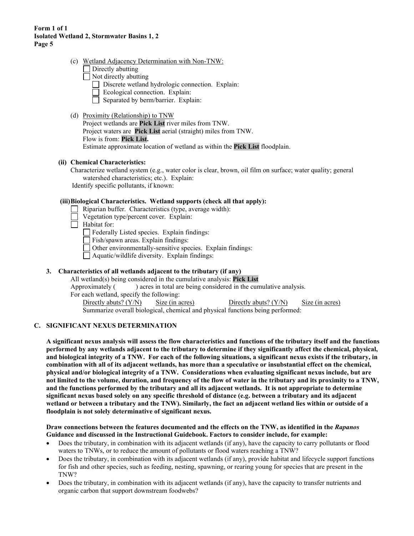- (c) Wetland Adjacency Determination with Non-TNW:
	- $\Box$  Directly abutting
	- $\Box$  Not directly abutting
		- Discrete wetland hydrologic connection. Explain:
		- Ecological connection. Explain:
		- Separated by berm/barrier. Explain:

#### (d) Proximity (Relationship) to TNW

Project wetlands are **Pick List** river miles from TNW. Project waters are **Pick List** aerial (straight) miles from TNW. Flow is from: **Pick List.** Estimate approximate location of wetland as within the **Pick List** floodplain.

#### **(ii) Chemical Characteristics:**

Characterize wetland system (e.g., water color is clear, brown, oil film on surface; water quality; general watershed characteristics; etc.). Explain:

Identify specific pollutants, if known:

## **(iii)Biological Characteristics. Wetland supports (check all that apply):**

- Riparian buffer. Characteristics (type, average width):
- Vegetation type/percent cover. Explain:
- $\Box$  Habitat for:
	- Federally Listed species. Explain findings:

 $\Box$  Fish/spawn areas. Explain findings:

Other environmentally-sensitive species. Explain findings:

 $\Box$  Aquatic/wildlife diversity. Explain findings:

# **3. Characteristics of all wetlands adjacent to the tributary (if any)**

All wetland(s) being considered in the cumulative analysis: **Pick List** Approximately () acres in total are being considered in the cumulative analysis. For each wetland, specify the following: Directly abuts? (Y/N) Size (in acres) Directly abuts? (Y/N) Size (in acres)

Summarize overall biological, chemical and physical functions being performed:

## **C. SIGNIFICANT NEXUS DETERMINATION**

**A significant nexus analysis will assess the flow characteristics and functions of the tributary itself and the functions performed by any wetlands adjacent to the tributary to determine if they significantly affect the chemical, physical, and biological integrity of a TNW. For each of the following situations, a significant nexus exists if the tributary, in combination with all of its adjacent wetlands, has more than a speculative or insubstantial effect on the chemical, physical and/or biological integrity of a TNW. Considerations when evaluating significant nexus include, but are not limited to the volume, duration, and frequency of the flow of water in the tributary and its proximity to a TNW, and the functions performed by the tributary and all its adjacent wetlands. It is not appropriate to determine significant nexus based solely on any specific threshold of distance (e.g. between a tributary and its adjacent wetland or between a tributary and the TNW). Similarly, the fact an adjacent wetland lies within or outside of a floodplain is not solely determinative of significant nexus.** 

#### **Draw connections between the features documented and the effects on the TNW, as identified in the** *Rapanos* **Guidance and discussed in the Instructional Guidebook. Factors to consider include, for example:**

- Does the tributary, in combination with its adjacent wetlands (if any), have the capacity to carry pollutants or flood waters to TNWs, or to reduce the amount of pollutants or flood waters reaching a TNW?
- Does the tributary, in combination with its adjacent wetlands (if any), provide habitat and lifecycle support functions for fish and other species, such as feeding, nesting, spawning, or rearing young for species that are present in the TNW?
- Does the tributary, in combination with its adjacent wetlands (if any), have the capacity to transfer nutrients and organic carbon that support downstream foodwebs?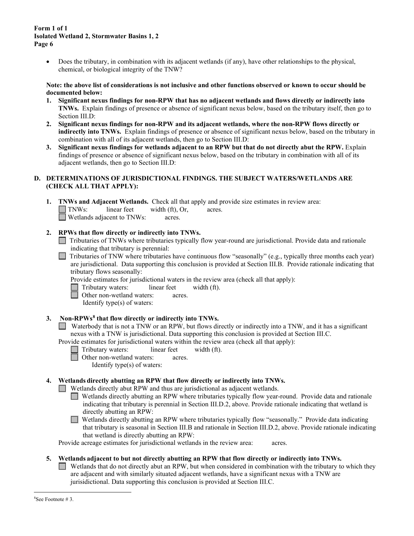• Does the tributary, in combination with its adjacent wetlands (if any), have other relationships to the physical, chemical, or biological integrity of the TNW?

#### **Note: the above list of considerations is not inclusive and other functions observed or known to occur should be documented below:**

- **1. Significant nexus findings for non-RPW that has no adjacent wetlands and flows directly or indirectly into TNWs.** Explain findings of presence or absence of significant nexus below, based on the tributary itself, then go to Section III.D:
- **2. Significant nexus findings for non-RPW and its adjacent wetlands, where the non-RPW flows directly or indirectly into TNWs.** Explain findings of presence or absence of significant nexus below, based on the tributary in combination with all of its adjacent wetlands, then go to Section III.D:
- **3. Significant nexus findings for wetlands adjacent to an RPW but that do not directly abut the RPW.** Explain findings of presence or absence of significant nexus below, based on the tributary in combination with all of its adjacent wetlands, then go to Section III.D:

# **D. DETERMINATIONS OF JURISDICTIONAL FINDINGS. THE SUBJECT WATERS/WETLANDS ARE (CHECK ALL THAT APPLY):**

**1. TNWs and Adjacent Wetlands.** Check all that apply and provide size estimates in review area: TNWs: linear feet width (ft), Or, acres. Wetlands adjacent to TNWs: acres.

- **2. RPWs that flow directly or indirectly into TNWs.**
	- Tributaries of TNWs where tributaries typically flow year-round are jurisdictional. Provide data and rationale indicating that tributary is perennial: .
	- Tributaries of TNW where tributaries have continuous flow "seasonally" (e.g., typically three months each year) are jurisdictional. Data supporting this conclusion is provided at Section III.B. Provide rationale indicating that tributary flows seasonally:
		- Provide estimates for jurisdictional waters in the review area (check all that apply):
		- Tributary waters: linear feet width (ft).
		- □ Other non-wetland waters: acres.

Identify type(s) of waters:

# **3. Non-RPWs[8](#page-5-0) that flow directly or indirectly into TNWs.**

Waterbody that is not a TNW or an RPW, but flows directly or indirectly into a TNW, and it has a significant nexus with a TNW is jurisdictional. Data supporting this conclusion is provided at Section III.C.

Provide estimates for jurisdictional waters within the review area (check all that apply):

- Tributary waters: linear feet width (ft).
	- Other non-wetland waters: acres.
		- Identify type(s) of waters:

# **4. Wetlands directly abutting an RPW that flow directly or indirectly into TNWs.**

- Wetlands directly abut RPW and thus are jurisdictional as adjacent wetlands.
	- Wetlands directly abutting an RPW where tributaries typically flow year-round. Provide data and rationale indicating that tributary is perennial in Section III.D.2, above. Provide rationale indicating that wetland is directly abutting an RPW:

Wetlands directly abutting an RPW where tributaries typically flow "seasonally." Provide data indicating that tributary is seasonal in Section III.B and rationale in Section III.D.2, above. Provide rationale indicating that wetland is directly abutting an RPW:

Provide acreage estimates for jurisdictional wetlands in the review area: acres.

## <span id="page-5-0"></span>**5. Wetlands adjacent to but not directly abutting an RPW that flow directly or indirectly into TNWs.**

 $\Box$ Wetlands that do not directly abut an RPW, but when considered in combination with the tributary to which they are adjacent and with similarly situated adjacent wetlands, have a significant nexus with a TNW are jurisidictional. Data supporting this conclusion is provided at Section III.C.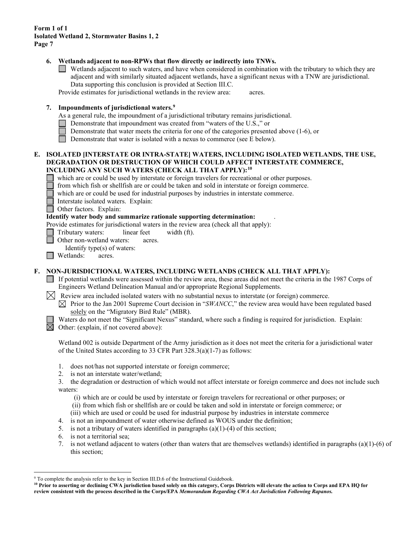#### **6. Wetlands adjacent to non-RPWs that flow directly or indirectly into TNWs.**

Wetlands adjacent to such waters, and have when considered in combination with the tributary to which they are adjacent and with similarly situated adjacent wetlands, have a significant nexus with a TNW are jurisdictional. Data supporting this conclusion is provided at Section III.C.

Provide estimates for jurisdictional wetlands in the review area: acres.

# **7. Impoundments of jurisdictional waters. [9](#page-6-0)**

As a general rule, the impoundment of a jurisdictional tributary remains jurisdictional.

- Demonstrate that impoundment was created from "waters of the U.S.," or
- Demonstrate that water meets the criteria for one of the categories presented above (1-6), or
- Demonstrate that water is isolated with a nexus to commerce (see E below).

#### **E. ISOLATED [INTERSTATE OR INTRA-STATE] WATERS, INCLUDING ISOLATED WETLANDS, THE USE, DEGRADATION OR DESTRUCTION OF WHICH COULD AFFECT INTERSTATE COMMERCE, INCLUDING ANY SUCH WATERS (CHECK ALL THAT APPLY):[10](#page-6-1)**

which are or could be used by interstate or foreign travelers for recreational or other purposes.

from which fish or shellfish are or could be taken and sold in interstate or foreign commerce.

which are or could be used for industrial purposes by industries in interstate commerce.

Interstate isolated waters.Explain:

**Other factors.** Explain:

#### **Identify water body and summarize rationale supporting determination:** .

Provide estimates for jurisdictional waters in the review area (check all that apply):

Tributary waters: linear feet width (ft).

Other non-wetland waters: acres.

Identify type(s) of waters:

**I** Wetlands: acres.

## **F. NON-JURISDICTIONAL WATERS, INCLUDING WETLANDS (CHECK ALL THAT APPLY):**

If potential wetlands were assessed within the review area, these areas did not meet the criteria in the 1987 Corps of Engineers Wetland Delineation Manual and/or appropriate Regional Supplements.

 $\bowtie$  Review area included isolated waters with no substantial nexus to interstate (or foreign) commerce.

 $\boxtimes$  Prior to the Jan 2001 Supreme Court decision in "*SWANCC*," the review area would have been regulated based solely on the "Migratory Bird Rule" (MBR).

Waters do not meet the "Significant Nexus" standard, where such a finding is required for jurisdiction. Explain:  $\boxtimes$  Other: (explain, if not covered above):

Wetland 002 is outside Department of the Army jurisdiction as it does not meet the criteria for a jurisdictional water of the United States according to 33 CFR Part 328.3(a)(1-7) as follows:

- 1. does not/has not supported interstate or foreign commerce;
- 2. is not an interstate water/wetland;

3. the degradation or destruction of which would not affect interstate or foreign commerce and does not include such waters:

- (i) which are or could be used by interstate or foreign travelers for recreational or other purposes; or
- (ii) from which fish or shellfish are or could be taken and sold in interstate or foreign commerce; or
- (iii) which are used or could be used for industrial purpose by industries in interstate commerce
- 4. is not an impoundment of water otherwise defined as WOUS under the definition;
- 5. is not a tributary of waters identified in paragraphs  $(a)(1)-(4)$  of this section;
- 6. is not a territorial sea;
- 7. is not wetland adjacent to waters (other than waters that are themselves wetlands) identified in paragraphs (a)(1)-(6) of this section;

<span id="page-6-0"></span><sup>&</sup>lt;sup>9</sup> To complete the analysis refer to the key in Section III.D.6 of the Instructional Guidebook.

<span id="page-6-1"></span>**<sup>10</sup> Prior to asserting or declining CWA jurisdiction based solely on this category, Corps Districts will elevate the action to Corps and EPA HQ for review consistent with the process described in the Corps/EPA** *Memorandum Regarding CWA Act Jurisdiction Following Rapanos.*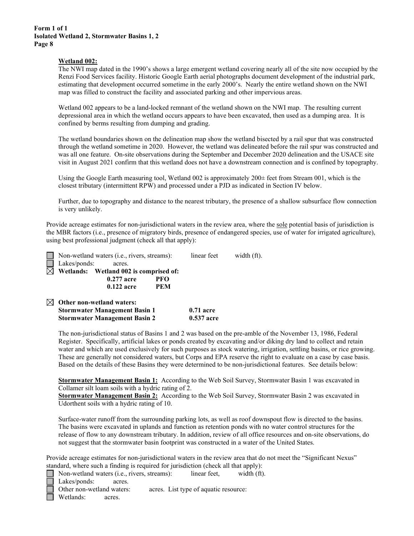#### **Wetland 002:**

The NWI map dated in the 1990's shows a large emergent wetland covering nearly all of the site now occupied by the Renzi Food Services facility. Historic Google Earth aerial photographs document development of the industrial park, estimating that development occurred sometime in the early 2000's. Nearly the entire wetland shown on the NWI map was filled to construct the facility and associated parking and other impervious areas.

Wetland 002 appears to be a land-locked remnant of the wetland shown on the NWI map. The resulting current depressional area in which the wetland occurs appears to have been excavated, then used as a dumping area. It is confined by berms resulting from dumping and grading.

The wetland boundaries shown on the delineation map show the wetland bisected by a rail spur that was constructed through the wetland sometime in 2020. However, the wetland was delineated before the rail spur was constructed and was all one feature. On-site observations during the September and December 2020 delineation and the USACE site visit in August 2021 confirm that this wetland does not have a downstream connection and is confined by topography.

Using the Google Earth measuring tool, Wetland 002 is approximately  $200\pm$  feet from Stream 001, which is the closest tributary (intermittent RPW) and processed under a PJD as indicated in Section IV below.

Further, due to topography and distance to the nearest tributary, the presence of a shallow subsurface flow connection is very unlikely.

Provide acreage estimates for non-jurisdictional waters in the review area, where the sole potential basis of jurisdiction is the MBR factors (i.e., presence of migratory birds, presence of endangered species, use of water for irrigated agriculture), using best professional judgment (check all that apply):

| $\Box$ Non-wetland waters (i.e., rivers, streams): |            | linear feet | width (ft). |
|----------------------------------------------------|------------|-------------|-------------|
| Lakes/ponds:<br>acres.                             |            |             |             |
| $\boxtimes$ Wetlands: Wetland 002 is comprised of: |            |             |             |
| $0.277$ acre                                       | PFO        |             |             |
| $0.122$ acre                                       | <b>PEM</b> |             |             |
| $\boxtimes$ Other non-wetland waters:              |            |             |             |

| Other non-wettanu waters.            |            |
|--------------------------------------|------------|
| <b>Stormwater Management Basin 1</b> | 0.71 acre  |
| <b>Stormwater Management Basin 2</b> | 0.537 acre |

The non-jurisdictional status of Basins 1 and 2 was based on the pre-amble of the November 13, 1986, Federal Register. Specifically, artificial lakes or ponds created by excavating and/or diking dry land to collect and retain water and which are used exclusively for such purposes as stock watering, irrigation, settling basins, or rice growing. These are generally not considered waters, but Corps and EPA reserve the right to evaluate on a case by case basis. Based on the details of these Basins they were determined to be non-jurisdictional features. See details below:

**Stormwater Management Basin 1:** According to the Web Soil Survey, Stormwater Basin 1 was excavated in Collamer silt loam soils with a hydric rating of 2.

**Stormwater Management Basin 2:** According to the Web Soil Survey, Stormwater Basin 2 was excavated in Udorthent soils with a hydric rating of 10.

Surface-water runoff from the surrounding parking lots, as well as roof downspout flow is directed to the basins. The basins were excavated in uplands and function as retention ponds with no water control structures for the release of flow to any downstream tributary. In addition, review of all office resources and on-site observations, do not suggest that the stormwater basin footprint was constructed in a water of the United States.

Provide acreage estimates for non-jurisdictional waters in the review area that do not meet the "Significant Nexus" standard, where such a finding is required for jurisdiction (check all that apply):

| $\Box$ Non-wetland waters (i.e., rivers, streams): | linear feet.                          | width (ft). |
|----------------------------------------------------|---------------------------------------|-------------|
| $\Box$ Lakes/ponds:<br>acres.                      |                                       |             |
| □ Other non-wetland waters:                        | acres. List type of aquatic resource: |             |
| Wetlands:<br>acres.                                |                                       |             |